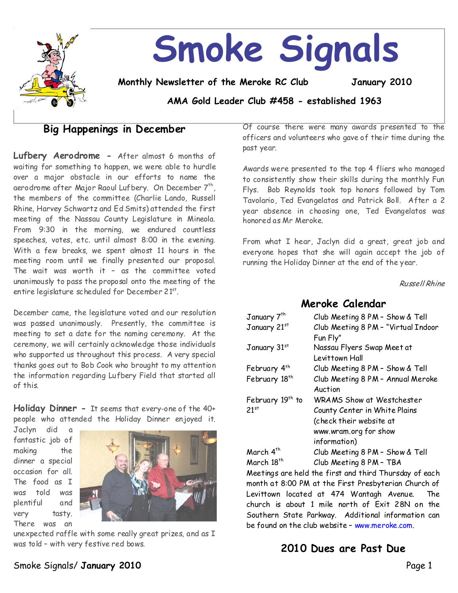

# **Smoke Signals**

**Monthly Newsletter of the Meroke RC Club January 2010**

**AMA Gold Leader Club #458 - established 1963**

# **Big Happenings in December**

**Lufbery Aerodrome -** After almost 6 months of waiting for something to happen, we were able to hurdle over a major obstacle in our efforts to name the aerodrome after Major Raoul Lufbery. On December 7th, I the members of the committee (Charlie Lando, Russell Rhine, Harvey Schwartz and Ed Smits) attended the first meeting of the Nassau County Legislature in Mineola. From 9:30 in the morning, we endured countless speeches, votes, etc. until almost 8:00 in the evening. With a few breaks, we spent almost 11 hours in the meeting room until we finally presented our proposal. The wait was worth it – as the committee voted unanimously to pass the proposal onto the meeting of the entire legislature scheduled for December 21st .

December came, the legislature voted and our resolution was passed unanimously. Presently, the committee is meeting to set a date for the naming ceremony. At the ceremony, we will certainly acknowledge those individuals who supported us throughout this process. A very special thanks goes out to Bob Cook who brought to my attention the information regarding Lufbery Field that started all of this.

**Holiday Dinner-**It seems that every-one of the 40+ people who attended the Holiday Dinner enjoyed it.

Jaclyn did a fantastic job of making the dinner a special occasion for all. The food as I was told was plentiful and very tasty. There was an



unexpected raffle with some really great prizes, and as I was told - with very festive red bows.

Of course there were many awards presented to the officers and volunteers who gave of their time during the past year.

Awards were presented to the top 4 fliers who managed to consistently show their skills during the monthly Fun Flys. Bob Reynolds took top honors followed by Tom Tavolario, Ted Evangelatos and Patrick Boll. After a 2 year absence in choosing one, Ted Evangelatos was honored as Mr Meroke.

From what I hear, Jaclyn did a great, great job and everyone hopes that she will again accept the job of running the Holiday Dinner at the end of the year.

Russell Rhine

## **Meroke Calendar**

| January 7 <sup>th</sup>      | Club Meeting 8 PM - Show & Tell     |  |
|------------------------------|-------------------------------------|--|
| January 21st                 | Club Meeting 8 PM - "Virtual Indoor |  |
|                              | Fun Fly"                            |  |
| January 31st                 | Nassau Flyers Swap Meet at          |  |
|                              | Levittown Hall                      |  |
| February 4th                 | Club Meeting 8 PM - Show & Tell     |  |
| February 18 <sup>th</sup>    | Club Meeting 8 PM - Annual Meroke   |  |
|                              | Auction                             |  |
| February 19 <sup>th</sup> to | <b>WRAMS Show at Westchester</b>    |  |
| 21st                         | County Center in White Plains       |  |
|                              | (check their website at             |  |
|                              | www.wram.org for show               |  |
|                              | information)                        |  |
| March 4 <sup>th</sup>        | Club Meeting 8 PM - Show & Tell     |  |
| March 18 <sup>th</sup>       | Club Meeting 8 PM - TBA             |  |

Meetings are held the first and third Thursday of each month at 8:00 PM at the First Presbyterian Church of Levittown located at 474 Wantagh Avenue. The church is about 1 mile north of Exit 28N on the Southern State Parkway. Additional information can be found on the club website - www.meroke.com.

**2010 Dues are Past Due**

## Smoke Signals/**January 2010** Page 1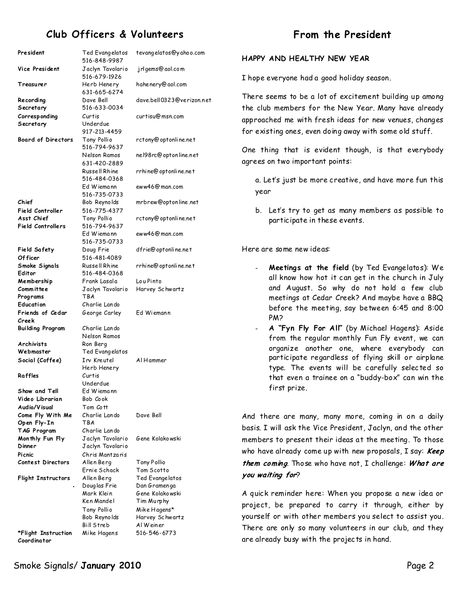# **Club Officers & Volunteers**

| President                          | Ted Evangelatos<br>516-848-9987  | tevangelatos@yahoo.com        |
|------------------------------------|----------------------------------|-------------------------------|
| Vice President                     | Jaclyn Tavolario<br>516-679-1926 | jrlgems@aol.com               |
| Treasurer                          | Herb Henery<br>631-665-6274      | hahenery@aol.com              |
| Re cordi ng                        | Dave Bell                        | dave.bell0323@verizon.net     |
| Secretary                          | 516-633-0034                     |                               |
| Corresponding                      | Curtis                           | curtisu@msn.com               |
| Secretary                          | Underdue                         |                               |
| <b>Board of Directors</b>          | 917-213-4459<br>Tony Pollio      | rctony@optonline.net          |
|                                    | 516-794-9637                     |                               |
|                                    | Nelson Ramos                     | nel98rc@optonline.net         |
|                                    | 631-420-2889                     |                               |
|                                    | Russell Rhine                    | rrhine@optonline.net          |
|                                    | 516-484-0368                     |                               |
|                                    | Ed Wiemann                       | eww46@man.com                 |
|                                    | 516-735-0733                     |                               |
| Chief                              | Bob Reynolds                     | mrbrew@optonline.net          |
| Field Controller                   | 516-775-4377                     |                               |
| Asst Chief                         | Tony Pollio                      | rctony@optonline.net          |
| <b>Field Controllers</b>           | 516-794-9637                     |                               |
|                                    | Ed Wiemann<br>516-735-0733       | eww46@man.com                 |
| <b>Field Safety</b>                | Doug Frie                        | dfrie@optonline.net           |
| Of ficer                           | 516-481-4089                     |                               |
| Smoke Signals                      | Russell Rhine                    | rrhine@optonline.net          |
| Editor                             | 516-484-0368                     |                               |
| Membership                         | Frank Lasala                     | Lou Pinto                     |
| Committee                          | Jaclyn Tavolario                 | Harvey Schwartz               |
| Programs                           | TBA                              |                               |
| Education                          | Charlie Lando                    |                               |
| Friends of Cedar<br>Creek          | George Carley                    | Ed Wiemann                    |
| <b>Building Program</b>            | Charlie Lando                    |                               |
|                                    | Nelson Ramos                     |                               |
| Archivists                         | Ron Berg                         |                               |
| Webmaster                          | Ted Evangelatos                  |                               |
| Social (Coffee)                    | Irv Kreutel                      | Al Hammer                     |
|                                    | Herb Henery                      |                               |
| Raffles                            | Curtis                           |                               |
| Show and Tell                      | Underdue                         |                               |
| Video Librarian                    | Ed Wiemann<br>Bob Cook           |                               |
| Audio/Visual                       | Tom Cott                         |                               |
| Come Fly With Me                   | Charlie Lando                    | Dave Bell                     |
| Open Fly-In                        | TBA                              |                               |
| TAG Program                        | Charlie Lando                    |                               |
| Monthly Fun Fly                    | Jaclyn Tavolario                 | Gene Kolakowski               |
| Dinner                             | Jaclyn Tavolario                 |                               |
| Picnic                             | Chris Mantzaris                  |                               |
| <b>Contest Directors</b>           | Allen Berg                       | Tony Pollio                   |
| <b>Flight Instructors</b>          | Ernie Schack<br>Allen Berg       | Tom Scotto<br>Ted Evangelatos |
|                                    | Douglas Frie                     | Dan Gramenga                  |
|                                    | Mark Klein                       | Gene Kolakowski               |
|                                    | Ken Mandel                       | Tim Murphy                    |
|                                    | Tony Pollio                      | Mike Hagens*                  |
|                                    | Bob Reynolds                     | Harvey Schwartz               |
|                                    | Bill Streb                       | Al Weiner                     |
| *Flight Instruction<br>Coordinator | Mike Hagens                      | 516-546-6773                  |

## From the President

#### **HAPPY AND HEALTHY NEW YEAR**

I hope everyone had a good holiday season.

There seems to be a lot of excitement building up among the club members for the New Year. Many have already approached me with fresh ideas for new venues, changes for existing ones, even doing away with some old stuff.

One thing that is evident though, is that everybody agrees on two important points:

a. Let's just be more creative, and have more fun this year

b. Let's try to get as many members as possible to participate in these events.

Here are some new ideas:

- **Meetings at the field** (by Ted Evangelatos): We all know how hot itcan get in the church in July and August. So why do not hold a few club meetings at Cedar Creek? And maybe have a BBQ before the meeting, say between 6:45 and 8:00 PM?
- **A "Fyn Fly For All"**(by Michael Hagens): Aside from the regular monthly Fun Fly event, we can organize another one, where everybody can participate regardless of flying skill or airplane type. The events will be carefully selected so that even a trainee on a "buddy-box" can win the first prize.

And there are many, many more, coming in on a daily basis.I will ask the Vice President, Jaclyn, and the other members to present their ideas at the meeting. To those who have already come up with new proposals, I say: Keep *them coming.* Those who have not, I challenge: What are you waiting for?

A quick reminder here: When you propose a new ideaor project, be prepared to carry it through, either by yourself or with other members you select to assist you. There are only so many volunteers in our club, and they are already busy with the projects in hand.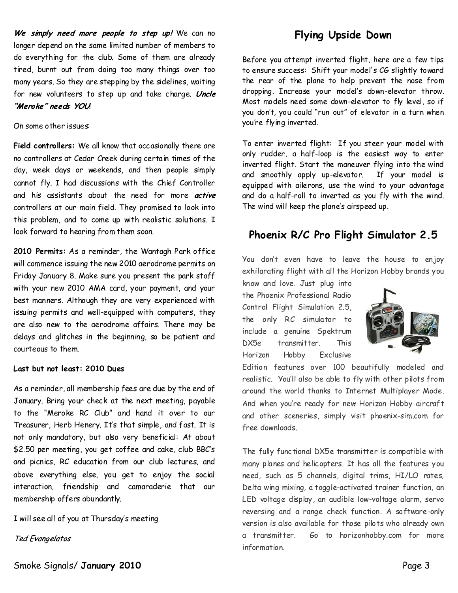We simply need more people to step up! We can no longer depend on the same limited number of members to do everything for the club. Some of them are already tired, burnt out from doing too many things over too many years. So they are stepping by the sidelines, waiting for new volunteers to step up and take charge. Uncle "Meroke" needs YOU

#### On some other issues:

Field controllers: We all know that occasionally there are no controllers at Cedar Creek during certain times of the day, week days or weekends, and then people simply cannot fly.I had discussions with the Chief Controller and his assistants about the need for more *active* controllers at our main field. They promised to look into this problem, and to come up with realistic solutions. I look forward to hearing from them soon.

**2010 Permits:**As a reminder, theWantagh Park office will commence issuing the new 2010 aerodrome permits on Friday January 8. Make sure you present the park staff with your new 2010 AMA card, your payment, and your best manners. Although they are very experienced with issuing permits and well-equipped with computers, they are also new to the aerodrome affairs. There may be delays and glitches in the beginning, so be patient and courteous to them.

#### **Last but not least: 2010 Dues**

As a reminder, all membership fees are due by the end of January. Bring your check at the next meeting, payable to the "Meroke RC Club" and hand it over to our Treasurer, Herb Henery. It's that simple, and fast. It is not only mandatory, but also very beneficial: At about \$2.50 per meeting, you get coffee and cake, club BBC's and picnics, RC education from our club lectures, and above everything else, you get to enjoy the social interaction, friendship and camaraderie that our membership offers abundantly.

I will seeall of youat Thursday's meeting

Ted Evangelatos

Before you attempt inverted flight, here are a few tips to ensure success: Shift your model's CG slightly toward the rear of the plane to help prevent the nose from dropping. Increase your model's down-elevator throw. Most models need some down-elevator to fly level, so if you don't, you could "run out" of elevator in a turn when you're flying inverted.

To enter inverted flight: If you steer your model with only rudder, a half-loop is the easiest way to enter inverted flight. Start the maneuver flying into the wind and smoothly apply up-elevator. If your model is equipped with ailerons, use the wind to your advantage and do a half-roll to inverted as you fly with the wind. The wind will keep the plane's airspeed up.

# **Phoenix R/C Pro Flight Simulator 2.5**

You don't even have to leave the house to enjoy exhilarating flight with all the Horizon Hobby brands you

know and love. Just plug into the Phoenix Professional Radio Control Flight Simulation 2.5, the only RC simulator to include a genuine Spektrum DX5e transmitter. This Horizon Hobby Exclusive



Edition features over 100 beautifully modeled and realistic. You'll also be able to fly with other pilots from around the world thanks to Internet Multiplayer Mode. And when you're ready for new Horizon Hobby aircraft and other sceneries, simply visit phoenix-sim.com for free downloads

The fully functional DX5e transmitter is compatible with many planes and helicopters. It has all the features you need, such as 5 channels, digital trims, HI/LO rates, Delta wing mixing, a toggle-activated trainer function, an LED voltage display, an audible low-voltage alarm, servo reversing and a range check function. A software-only version is also available for those pilots who already own a transmitter. Go to horizonhobby.com for more information.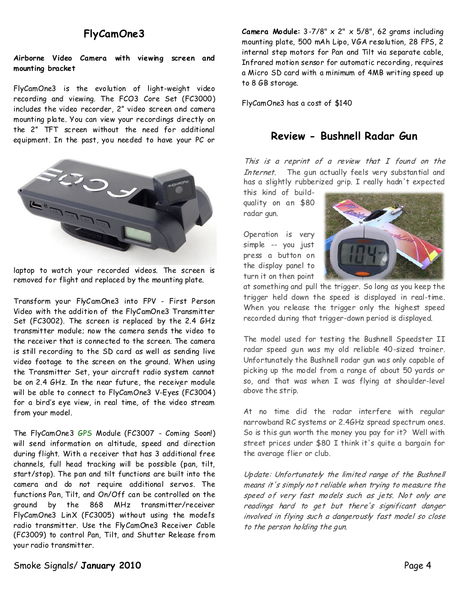## **FlyCamOne3**

#### **Airborne Video Camera with viewing screen and mounting bracket**

FlyCamOne3 is the evolution of light-weight video recording and viewing. The FCO3 Core Set (FC3000) includes the video recorder, 2" video screen and camera mounting plate. You can view your recordings directly on the 2" TFT screen without the need for additional equipment. In the past, you needed to have your PC or



laptop to watch your recorded videos. The screen is removed for flight and replaced by the mounting plate.

Transform your FlyCamOne3 into FPV - First Person Video with the addition of the FlyCamOne3 Transmitter Set (FC3002). The screen is replaced by the 2.4 GHz transmitter module; now the camera sends the video to the receiver that is connected to the screen. The camera is still recording to the SD card as well as sending live video footage to the screen on the ground. When using the Transmitter Set, your aircraft radio system cannot be on 2.4 GHz. In the near future, the receiver module will be able to connect to FlyCamOne3 V-Eyes (FC3004) for a bird's eye view, in real time, of the video stream from your model.

The FlyCamOne3 GPS Module (FC3007 - Coming Soon!) will send information on altitude, speed and direction during flight. With a receiver that has 3 additional free channels, full head tracking will be possible (pan, tilt, start/stop). The pan and tilt functions are built into the camera and do not require additional servos. The functions Pan, Tilt, and On/Off can be controlled on the ground by the 868 MHz transmitter/receiver FlyCamOne3 LinX (FC3005) without using the model's radio transmitter. Use the FlyCamOne3 Receiver Cable (FC3009) to control Pan, Tilt, and Shutter Release from your radio transmitter.

**Camera Module:**3-7/8" x 2" x 5/8", 62 grams including mounting plate, 500 mAh Lipo, VGA resolution, 28FPS, 2 internal step motors for Pan and Tilt via separate cable, Infrared motion sensor for automatic recording, requires a Micro SD card with a minimum of 4MB writing speed up to 8 GB storage.

FlyCamOne3 has a cost of \$140

### **Review-Bushnell Radar Gun**

This is a reprint of a review that I found on the Internet. The gun actually feels very substantial and has a slightly rubberized grip. I really hadn't expected

this kind of build quality on an \$80 radar gun.

Operation is very simple -- you just press a button on the display panel to turn it on then point



at something and pull the trigger. So long as you keep the trigger held down the speed is displayed in real-time. When you release the trigger only the highest speed recorded during that trigger-down period is displayed.

The model used for testing the Bushnell Speedster II radar speed gun was my old reliable 40-sized trainer. Unfortunately the Bushnell radar gun was only capable of picking up the model from a range of about 50 yards or so, and that was when I was flying at shoulder-level above the strip.

At no time did the radar interfere with regular narrowband RC systems or 2.4GHz spread spectrum ones. So is this gun worth the money you pay for it? Well with street prices under \$80 I think it's quite a bargain for the average flier or club.

Update: Unfortunately the limited range of the Bushnell means it's simply not reliable when trying to measure the speed of very fast models such as jets. Not only are readings hard to get but there's significant danger involved in flying such a dangerously fast model so close to the person holding the gun.